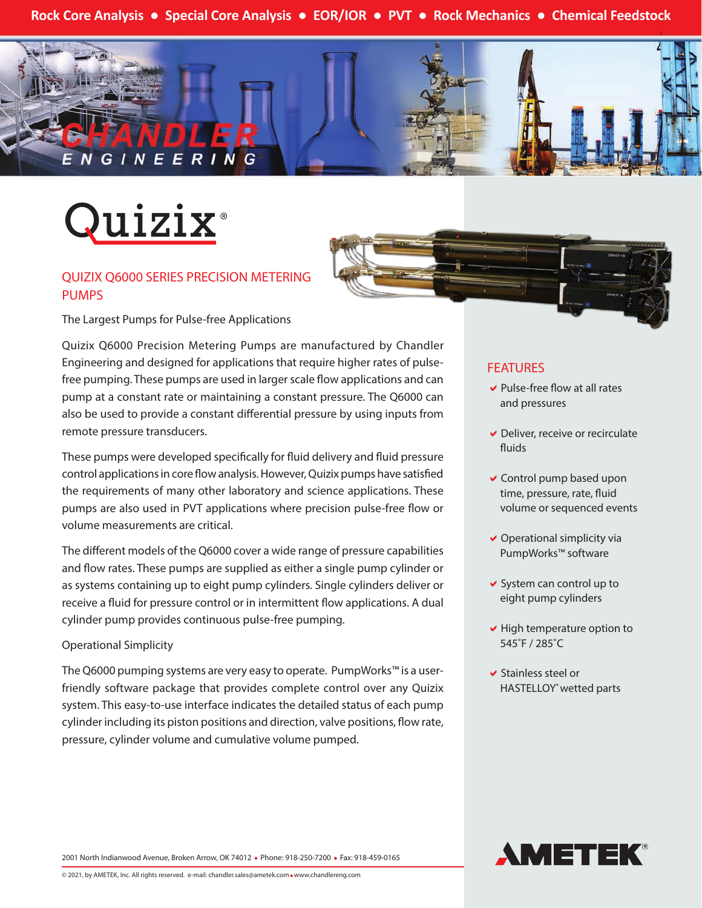**Rock Core Analysis ● Special Core Analysis ● EOR/IOR ● PVT ● Rock Mechanics ● Chemical Feedstock**





#### QUIZIX Q6000 SERIES PRECISION METERING PUMPS

The Largest Pumps for Pulse-free Applications

Quizix Q6000 Precision Metering Pumps are manufactured by Chandler Engineering and designed for applications that require higher rates of pulsefree pumping. These pumps are used in larger scale flow applications and can pump at a constant rate or maintaining a constant pressure. The Q6000 can also be used to provide a constant differential pressure by using inputs from remote pressure transducers.

These pumps were developed specifically for fluid delivery and fluid pressure control applications in core flow analysis. However, Quizix pumps have satisfied the requirements of many other laboratory and science applications. These pumps are also used in PVT applications where precision pulse-free flow or volume measurements are critical.

The different models of the Q6000 cover a wide range of pressure capabilities and flow rates. These pumps are supplied as either a single pump cylinder or as systems containing up to eight pump cylinders. Single cylinders deliver or receive a fluid for pressure control or in intermittent flow applications. A dual cylinder pump provides continuous pulse-free pumping.

#### Operational Simplicity

The Q6000 pumping systems are very easy to operate. PumpWorks™ is a userfriendly software package that provides complete control over any Quizix system. This easy-to-use interface indicates the detailed status of each pump cylinder including its piston positions and direction, valve positions, flow rate, pressure, cylinder volume and cumulative volume pumped.

## FEATURES

- $\vee$  Pulse-free flow at all rates and pressures
- $\vee$  Deliver, receive or recirculate fluids
- $\vee$  Control pump based upon time, pressure, rate, fluid volume or sequenced events
- $\vee$  Operational simplicity via PumpWorks™ software
- $\vee$  System can control up to eight pump cylinders
- $\vee$  High temperature option to 545˚F / 285˚C
- $\blacktriangleright$  Stainless steel or HASTELLOY<sup>®</sup> wetted parts



2001 North Indianwood Avenue, Broken Arrow, OK 74012 • Phone: 918-250-7200 • Fax: 918-459-0165